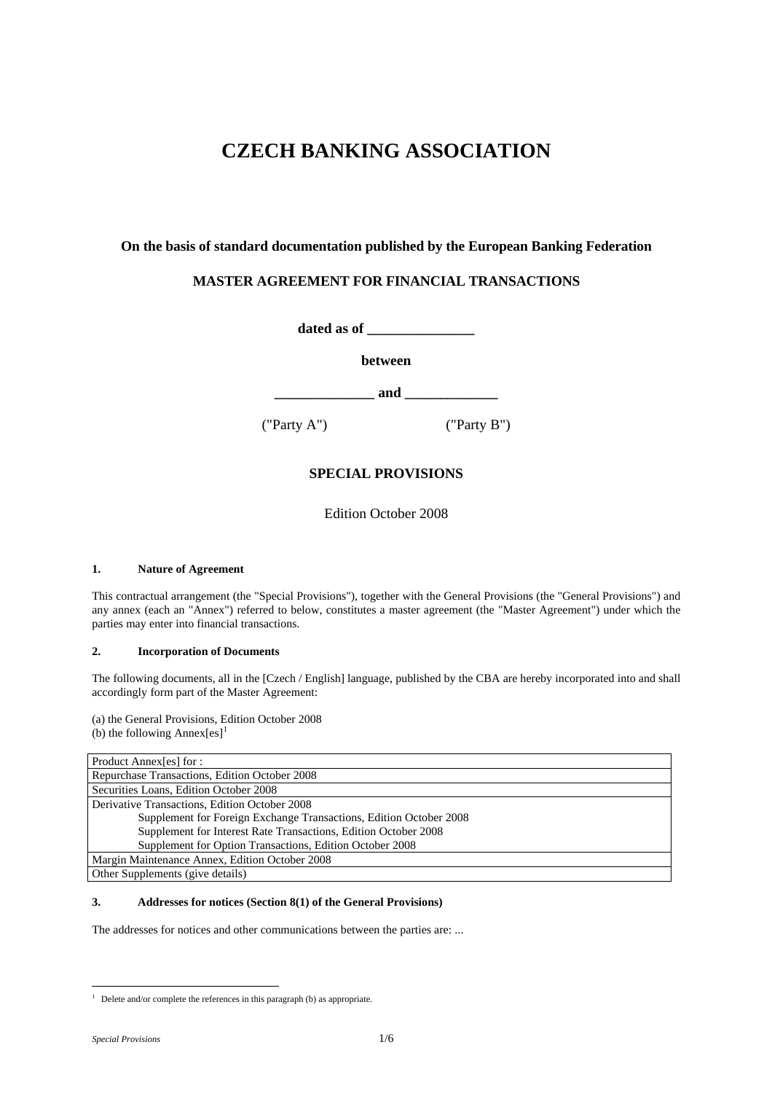# **CZECH BANKING ASSOCIATION**

# **On the basis of standard documentation published by the European Banking Federation**

# **MASTER AGREEMENT FOR FINANCIAL TRANSACTIONS**

**dated as of \_\_\_\_\_\_\_\_\_\_\_\_\_\_\_** 

**between** 

**\_\_\_\_\_\_\_\_\_\_\_\_\_\_ and \_\_\_\_\_\_\_\_\_\_\_\_\_** 

("Party A") ("Party B")

# **SPECIAL PROVISIONS**

Edition October 2008

# **1. Nature of Agreement**

This contractual arrangement (the "Special Provisions"), together with the General Provisions (the "General Provisions") and any annex (each an "Annex") referred to below, constitutes a master agreement (the "Master Agreement") under which the parties may enter into financial transactions.

### **2. Incorporation of Documents**

The following documents, all in the [Czech / English] language, published by the CBA are hereby incorporated into and shall accordingly form part of the Master Agreement:

(a) the General Provisions, Edition October 2008 (b) the following Annex $[es]$ <sup>[1](#page-0-0)</sup>

| Product Annex[es] for :                                            |
|--------------------------------------------------------------------|
| Repurchase Transactions, Edition October 2008                      |
| Securities Loans, Edition October 2008                             |
| Derivative Transactions, Edition October 2008                      |
| Supplement for Foreign Exchange Transactions, Edition October 2008 |
| Supplement for Interest Rate Transactions, Edition October 2008    |
| Supplement for Option Transactions, Edition October 2008           |
| Margin Maintenance Annex, Edition October 2008                     |
| Other Supplements (give details)                                   |

# **3. Addresses for notices (Section 8(1) of the General Provisions)**

The addresses for notices and other communications between the parties are: ...

<span id="page-0-0"></span> 1 Delete and/or complete the references in this paragraph (b) as appropriate.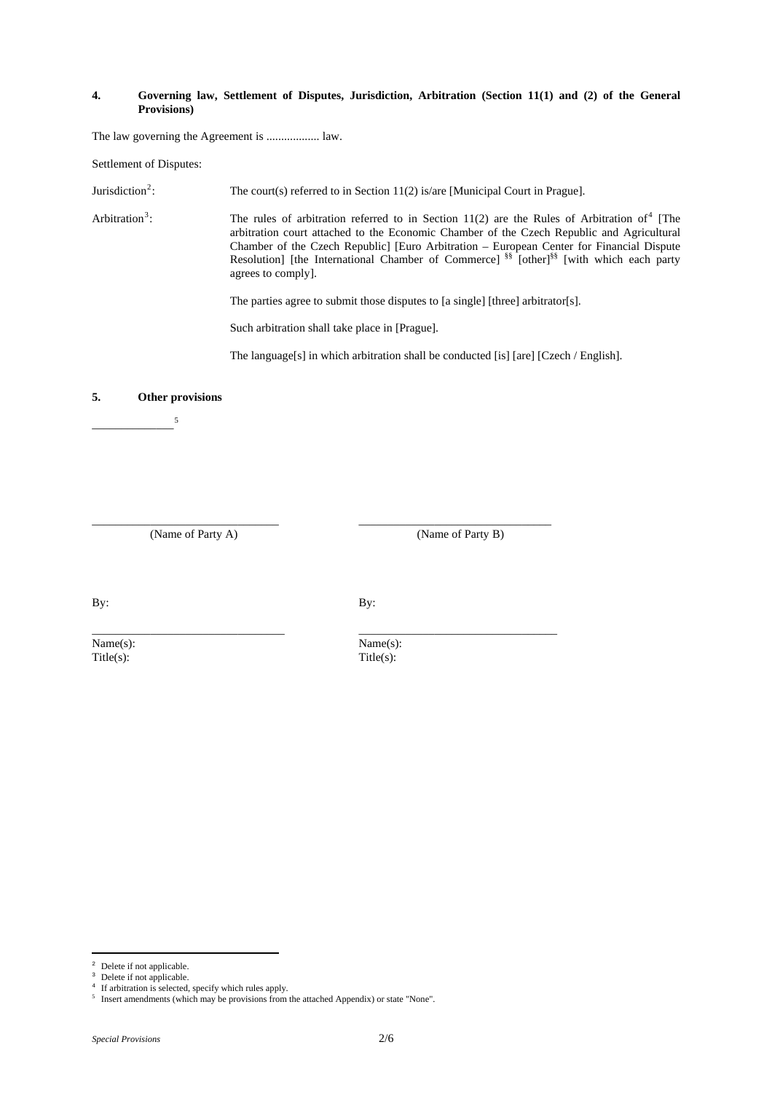#### **4. Governing law, Settlement of Disputes, Jurisdiction, Arbitration (Section 11(1) and (2) of the General Provisions)**

The law governing the Agreement is .................. law.

Settlement of Disputes:

Jurisdiction<sup>[2](#page-1-0)</sup>: The court(s) referred to in Section 11(2) is/are [Municipal Court in Prague].

Arbitration $3$ :  $\therefore$  The rules of arbitration referred to in Section 11(2) are the Rules of Arbitration of<sup>[4](#page-1-2)</sup> [The arbitration court attached to the Economic Chamber of the Czech Republic and Agricultural Chamber of the Czech Republic] [Euro Arbitration – European Center for Financial Dispute Resolution] [the International Chamber of Commerce]<sup>§§</sup> [other]<sup>§§</sup> [with which each party agrees to comply].

The parties agree to submit those disputes to [a single] [three] arbitrator[s].

Such arbitration shall take place in [Prague].

The language[s] in which arbitration shall be conducted [is] [are] [Czech / English].

### **5. Other provisions**

 $\overline{\phantom{a}5}$  $\overline{\phantom{a}5}$  $\overline{\phantom{a}5}$ 

(Name of Party A) (Name of Party B)

By: By:

\_\_\_\_\_\_\_\_\_\_\_\_\_\_\_\_\_\_\_\_\_\_\_\_\_\_\_\_\_\_\_\_\_ \_\_\_\_\_\_\_\_\_\_\_\_\_\_\_\_\_\_\_\_\_\_\_\_\_\_\_\_\_\_\_\_\_\_

\_\_\_\_\_\_\_\_\_\_\_\_\_\_\_\_\_\_\_\_\_\_\_\_\_\_\_\_\_\_\_\_ \_\_\_\_\_\_\_\_\_\_\_\_\_\_\_\_\_\_\_\_\_\_\_\_\_\_\_\_\_\_\_\_\_

 $\text{Title}(s)$ :  $\text{Title}(s)$ :

Name(s): Name(s):

i Delete if not applicable.

<span id="page-1-1"></span><span id="page-1-0"></span>Delete if not applicable.

If arbitration is selected, specify which rules apply.

<span id="page-1-3"></span><span id="page-1-2"></span><sup>5</sup> Insert amendments (which may be provisions from the attached Appendix) or state "None".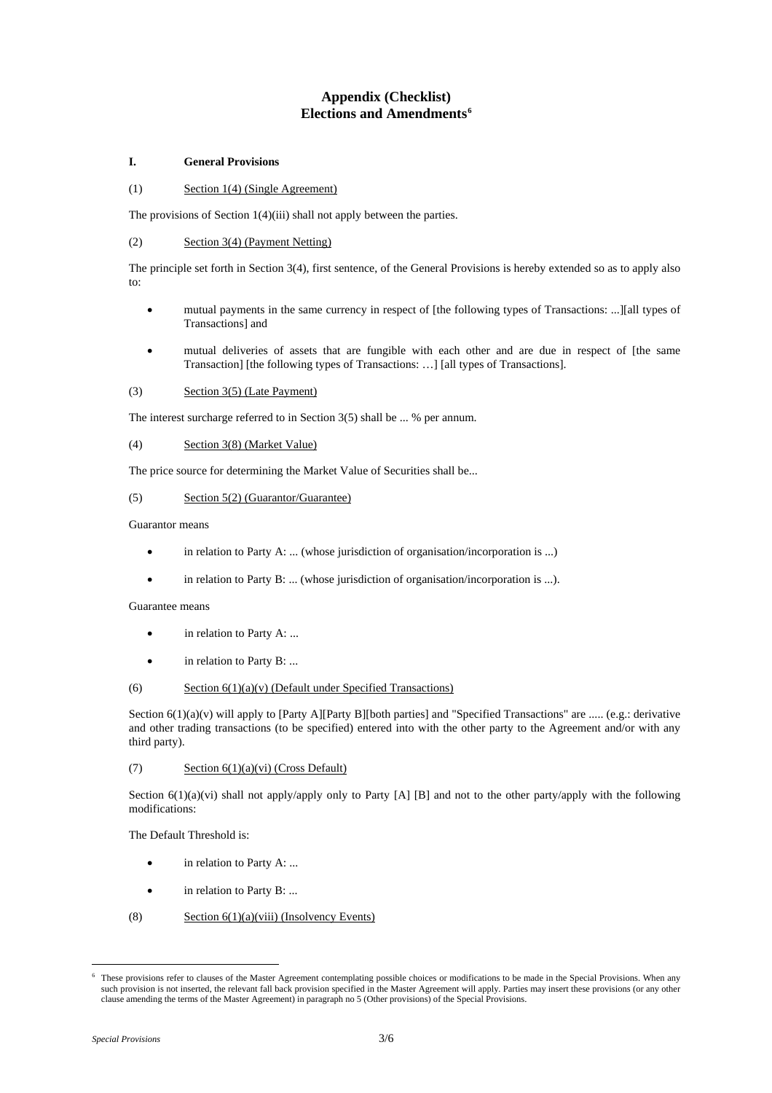# **Appendix (Checklist) Elections and Amendments[6](#page-2-0)**

## **I. General Provisions**

#### (1) Section 1(4) (Single Agreement)

The provisions of Section 1(4)(iii) shall not apply between the parties.

## (2) Section 3(4) (Payment Netting)

The principle set forth in Section 3(4), first sentence, of the General Provisions is hereby extended so as to apply also to:

- mutual payments in the same currency in respect of [the following types of Transactions: ...][all types of Transactions] and
- mutual deliveries of assets that are fungible with each other and are due in respect of [the same Transaction] [the following types of Transactions: …] [all types of Transactions].

# (3) Section 3(5) (Late Payment)

The interest surcharge referred to in Section 3(5) shall be ... % per annum.

#### (4) Section 3(8) (Market Value)

The price source for determining the Market Value of Securities shall be...

#### (5) Section 5(2) (Guarantor/Guarantee)

Guarantor means

- in relation to Party A: ... (whose jurisdiction of organisation/incorporation is ...)
- in relation to Party B: ... (whose jurisdiction of organisation/incorporation is ...).

# Guarantee means

- in relation to Party A: ...
- in relation to Party B: ...

### (6) Section  $6(1)(a)(v)$  (Default under Specified Transactions)

Section  $6(1)(a)(v)$  will apply to [Party A][Party B][both parties] and "Specified Transactions" are ..... (e.g.: derivative and other trading transactions (to be specified) entered into with the other party to the Agreement and/or with any third party).

### (7) Section 6(1)(a)(vi) (Cross Default)

Section  $6(1)(a)(vi)$  shall not apply/apply only to Party [A] [B] and not to the other party/apply with the following modifications:

The Default Threshold is:

- in relation to Party A: ...
- in relation to Party B: ...
- (8) Section  $6(1)(a)(viii)$  (Insolvency Events)

<span id="page-2-0"></span>i<br>Li 6 These provisions refer to clauses of the Master Agreement contemplating possible choices or modifications to be made in the Special Provisions. When any such provision is not inserted, the relevant fall back provision specified in the Master Agreement will apply. Parties may insert these provisions (or any other clause amending the terms of the Master Agreement) in paragraph no 5 (Other provisions) of the Special Provisions.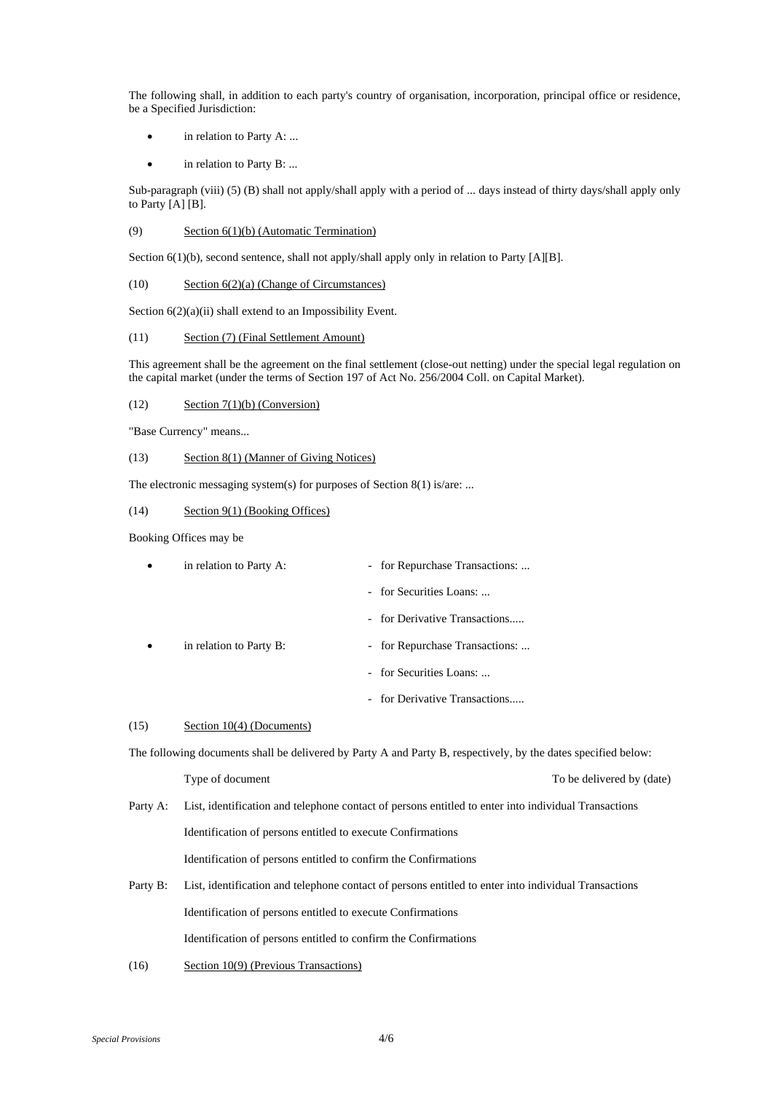The following shall, in addition to each party's country of organisation, incorporation, principal office or residence, be a Specified Jurisdiction:

- in relation to Party A: ...
- in relation to Party B: ...

Sub-paragraph (viii) (5) (B) shall not apply/shall apply with a period of ... days instead of thirty days/shall apply only to Party [A] [B].

#### (9) Section 6(1)(b) (Automatic Termination)

Section 6(1)(b), second sentence, shall not apply/shall apply only in relation to Party [A][B].

(10) Section 6(2)(a) (Change of Circumstances)

Section  $6(2)(a)(ii)$  shall extend to an Impossibility Event.

#### (11) Section (7) (Final Settlement Amount)

This agreement shall be the agreement on the final settlement (close-out netting) under the special legal regulation on the capital market (under the terms of Section 197 of Act No. 256/2004 Coll. on Capital Market).

#### $\text{Section 7}(1)(b) \text{ (Conservation)}$

"Base Currency" means...

#### (13) Section 8(1) (Manner of Giving Notices)

The electronic messaging system(s) for purposes of Section 8(1) is/are: ...

#### (14) Section 9(1) (Booking Offices)

Booking Offices may be

| in relation to Party A: | - for Repurchase Transactions:         |
|-------------------------|----------------------------------------|
|                         | - for Securities Loans:                |
|                         | - for Derivative Transactions          |
| in relation to Party B: | for Repurchase Transactions:<br>$\sim$ |
|                         | - for Securities Loans:                |
|                         | - for Derivative Transactions          |

#### (15) Section 10(4) (Documents)

The following documents shall be delivered by Party A and Party B, respectively, by the dates specified below:

Type of document To be delivered by (date)

# Party A: List, identification and telephone contact of persons entitled to enter into individual Transactions Identification of persons entitled to execute Confirmations Identification of persons entitled to confirm the Confirmations

- Party B: List, identification and telephone contact of persons entitled to enter into individual Transactions Identification of persons entitled to execute Confirmations Identification of persons entitled to confirm the Confirmations
- (16) Section 10(9) (Previous Transactions)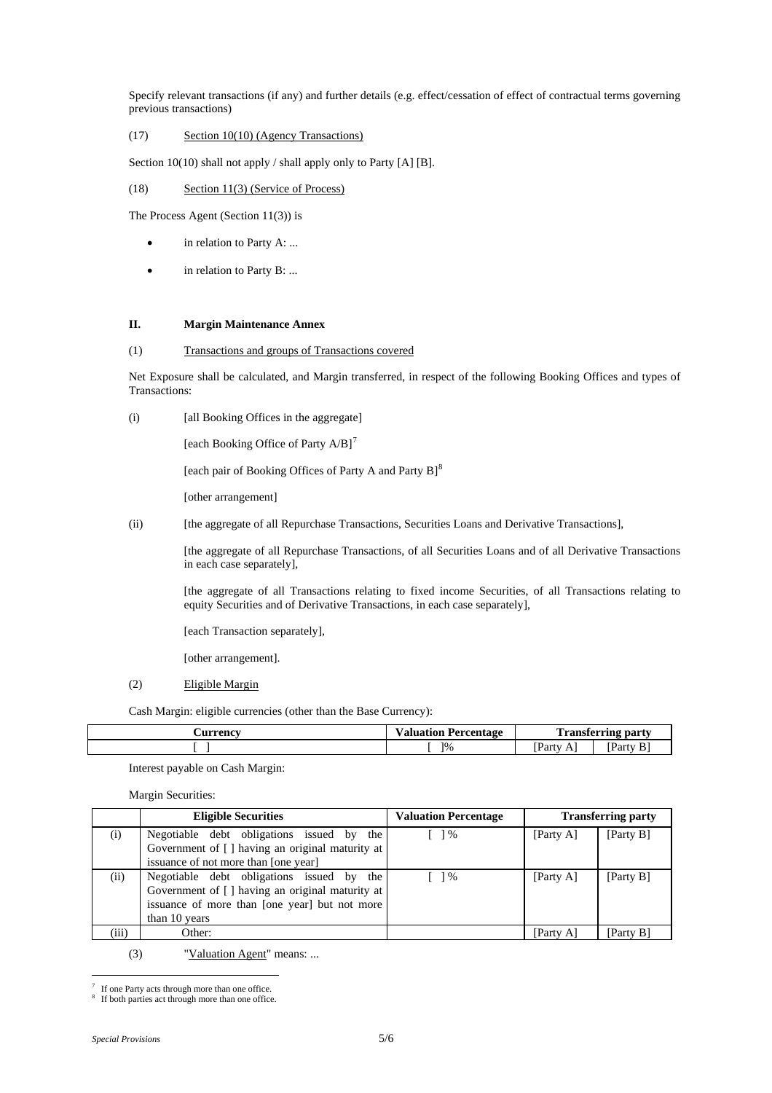Specify relevant transactions (if any) and further details (e.g. effect/cessation of effect of contractual terms governing previous transactions)

# (17) Section 10(10) (Agency Transactions)

Section 10(10) shall not apply / shall apply only to Party [A] [B].

## (18) Section 11(3) (Service of Process)

The Process Agent (Section 11(3)) is

- in relation to Party A: ...
- in relation to Party B: ...

### **II. Margin Maintenance Annex**

## (1) Transactions and groups of Transactions covered

Net Exposure shall be calculated, and Margin transferred, in respect of the following Booking Offices and types of Transactions:

(i) [all Booking Offices in the aggregate]

[each Booking Office of Party  $A/B$ ]<sup>[7](#page-4-0)</sup>

[each pair of Booking Offices of Party A and Party B]<sup>[8](#page-4-1)</sup>

[other arrangement]

(ii) [the aggregate of all Repurchase Transactions, Securities Loans and Derivative Transactions],

 [the aggregate of all Repurchase Transactions, of all Securities Loans and of all Derivative Transactions in each case separately],

 [the aggregate of all Transactions relating to fixed income Securities, of all Transactions relating to equity Securities and of Derivative Transactions, in each case separately],

[each Transaction separately],

[other arrangement].

### (2) Eligible Margin

Cash Margin: eligible currencies (other than the Base Currency):

| Aurrency | <b>Valuation Percentage</b> | $\overline{ }$                               | l'ransferring party |
|----------|-----------------------------|----------------------------------------------|---------------------|
|          | 1%                          | $\mathbf{m}$<br>Party<br>Δ<br>$\overline{1}$ | <b>Party</b><br>B.  |

Interest payable on Cash Margin:

Margin Securities:

|       | <b>Eligible Securities</b>                       | <b>Valuation Percentage</b>                     |           | <b>Transferring party</b> |
|-------|--------------------------------------------------|-------------------------------------------------|-----------|---------------------------|
| (i)   | Negotiable debt obligations issued by the        | $\frac{1}{6}$                                   | [Party A] | [Party B]                 |
|       | Government of [] having an original maturity at  |                                                 |           |                           |
|       | issuance of not more than [one year]             |                                                 |           |                           |
| (ii)  | Negotiable debt obligations issued by the        | $\begin{array}{c} \begin{array}{c} \end{array}$ | [Party A] | [Party B]                 |
|       | Government of [ ] having an original maturity at |                                                 |           |                           |
|       | issuance of more than [one year] but not more    |                                                 |           |                           |
|       | than 10 years                                    |                                                 |           |                           |
| (iii) | Other:                                           |                                                 | [Party A] | [Party B]                 |

(3) "Valuation Agent" means: ...

<span id="page-4-0"></span>i<br>Li 7 If one Party acts through more than one office.

<span id="page-4-1"></span><sup>8</sup> If both parties act through more than one office.